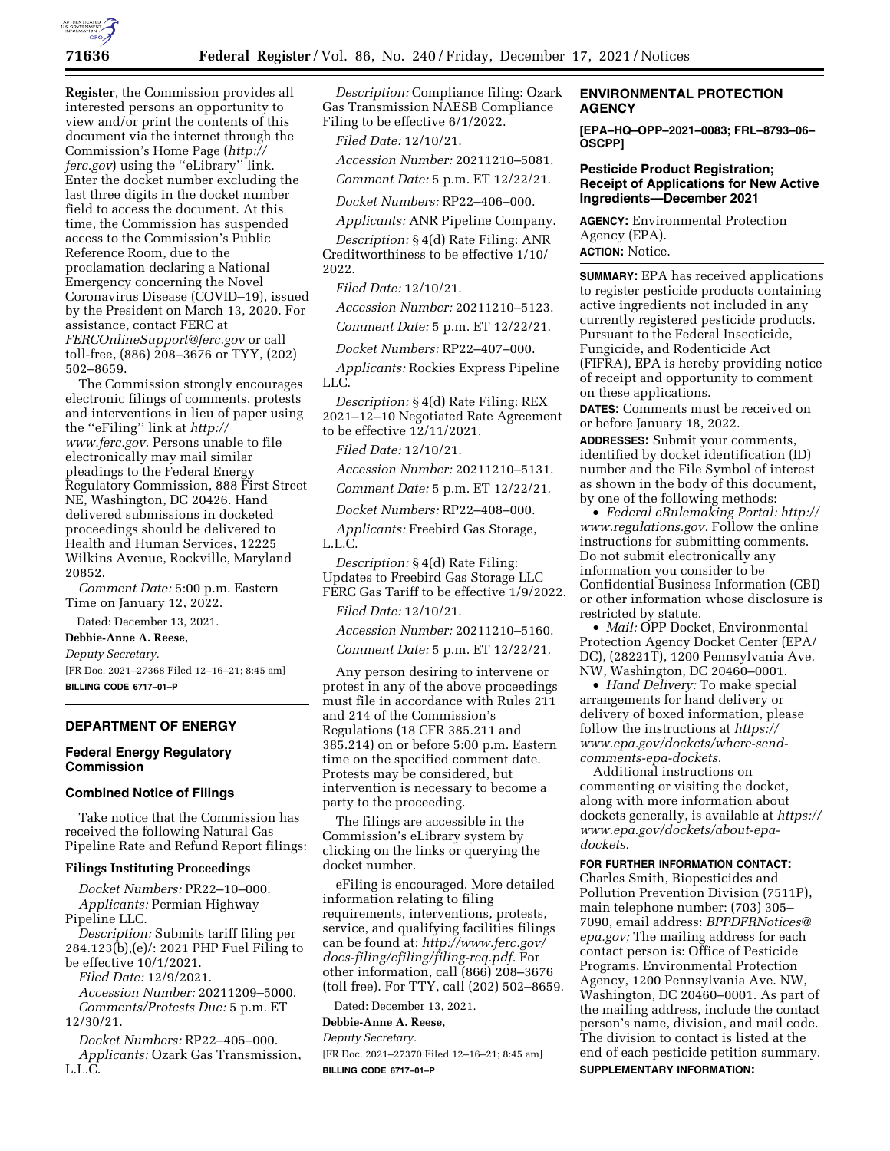

**Register**, the Commission provides all interested persons an opportunity to view and/or print the contents of this document via the internet through the Commission's Home Page (*[http://](http://ferc.gov) [ferc.gov](http://ferc.gov)*) using the ''eLibrary'' link. Enter the docket number excluding the last three digits in the docket number field to access the document. At this time, the Commission has suspended access to the Commission's Public Reference Room, due to the proclamation declaring a National Emergency concerning the Novel Coronavirus Disease (COVID–19), issued by the President on March 13, 2020. For assistance, contact FERC at *[FERCOnlineSupport@ferc.gov](mailto:FERCOnlineSupport@ferc.gov)* or call toll-free, (886) 208–3676 or TYY, (202) 502–8659.

The Commission strongly encourages electronic filings of comments, protests and interventions in lieu of paper using the ''eFiling'' link at *[http://](http://www.ferc.gov) [www.ferc.gov.](http://www.ferc.gov)* Persons unable to file electronically may mail similar pleadings to the Federal Energy Regulatory Commission, 888 First Street NE, Washington, DC 20426. Hand delivered submissions in docketed proceedings should be delivered to Health and Human Services, 12225 Wilkins Avenue, Rockville, Maryland 20852.

*Comment Date:* 5:00 p.m. Eastern Time on January 12, 2022.

Dated: December 13, 2021.

**Debbie-Anne A. Reese,** 

*Deputy Secretary.* 

[FR Doc. 2021–27368 Filed 12–16–21; 8:45 am] **BILLING CODE 6717–01–P** 

## **DEPARTMENT OF ENERGY**

#### **Federal Energy Regulatory Commission**

#### **Combined Notice of Filings**

Take notice that the Commission has received the following Natural Gas Pipeline Rate and Refund Report filings:

#### **Filings Instituting Proceedings**

*Docket Numbers:* PR22–10–000. *Applicants:* Permian Highway Pipeline LLC.

*Description:* Submits tariff filing per 284.123(b),(e)/: 2021 PHP Fuel Filing to be effective 10/1/2021.

*Filed Date:* 12/9/2021. *Accession Number:* 20211209–5000. *Comments/Protests Due:* 5 p.m. ET 12/30/21.

*Docket Numbers:* RP22–405–000. *Applicants:* Ozark Gas Transmission, L.L.C.

*Description:* Compliance filing: Ozark Gas Transmission NAESB Compliance Filing to be effective 6/1/2022.

*Filed Date:* 12/10/21.

*Accession Number:* 20211210–5081.

*Comment Date:* 5 p.m. ET 12/22/21.

*Docket Numbers:* RP22–406–000.

*Applicants:* ANR Pipeline Company.

*Description:* § 4(d) Rate Filing: ANR Creditworthiness to be effective 1/10/ 2022.

*Filed Date:* 12/10/21.

*Accession Number:* 20211210–5123.

*Comment Date:* 5 p.m. ET 12/22/21.

*Docket Numbers:* RP22–407–000.

*Applicants:* Rockies Express Pipeline LLC.

*Description:* § 4(d) Rate Filing: REX 2021–12–10 Negotiated Rate Agreement to be effective 12/11/2021.

*Filed Date:* 12/10/21.

*Accession Number:* 20211210–5131.

*Comment Date:* 5 p.m. ET 12/22/21.

*Docket Numbers:* RP22–408–000.

*Applicants:* Freebird Gas Storage, L.L.C.

*Description:* § 4(d) Rate Filing: Updates to Freebird Gas Storage LLC FERC Gas Tariff to be effective 1/9/2022.

*Filed Date:* 12/10/21.

*Accession Number:* 20211210–5160.

*Comment Date:* 5 p.m. ET 12/22/21.

Any person desiring to intervene or protest in any of the above proceedings must file in accordance with Rules 211 and 214 of the Commission's Regulations (18 CFR 385.211 and 385.214) on or before 5:00 p.m. Eastern time on the specified comment date. Protests may be considered, but intervention is necessary to become a party to the proceeding.

The filings are accessible in the Commission's eLibrary system by clicking on the links or querying the docket number.

eFiling is encouraged. More detailed information relating to filing requirements, interventions, protests, service, and qualifying facilities filings can be found at: *[http://www.ferc.gov/](http://www.ferc.gov/docs-filing/efiling/filing-req.pdf)  [docs-filing/efiling/filing-req.pdf.](http://www.ferc.gov/docs-filing/efiling/filing-req.pdf)* For other information, call (866) 208–3676 (toll free). For TTY, call (202) 502–8659.

Dated: December 13, 2021.

**Debbie-Anne A. Reese,** 

*Deputy Secretary.* 

[FR Doc. 2021–27370 Filed 12–16–21; 8:45 am] **BILLING CODE 6717–01–P** 

# **ENVIRONMENTAL PROTECTION AGENCY**

**[EPA–HQ–OPP–2021–0083; FRL–8793–06– OSCPP]** 

# **Pesticide Product Registration; Receipt of Applications for New Active Ingredients—December 2021**

**AGENCY:** Environmental Protection Agency (EPA). **ACTION:** Notice.

**SUMMARY:** EPA has received applications to register pesticide products containing active ingredients not included in any currently registered pesticide products. Pursuant to the Federal Insecticide, Fungicide, and Rodenticide Act (FIFRA), EPA is hereby providing notice of receipt and opportunity to comment on these applications.

**DATES:** Comments must be received on or before January 18, 2022.

**ADDRESSES:** Submit your comments, identified by docket identification (ID) number and the File Symbol of interest as shown in the body of this document, by one of the following methods:

• *Federal eRulemaking Portal: [http://](http://www.regulations.gov)  [www.regulations.gov.](http://www.regulations.gov)* Follow the online instructions for submitting comments. Do not submit electronically any information you consider to be Confidential Business Information (CBI) or other information whose disclosure is restricted by statute.

• *Mail: OPP Docket, Environmental* Protection Agency Docket Center (EPA/ DC), (28221T), 1200 Pennsylvania Ave. NW, Washington, DC 20460–0001.

• *Hand Delivery:* To make special arrangements for hand delivery or delivery of boxed information, please follow the instructions at *[https://](https://www.epa.gov/dockets/where-send-comments-epa-dockets) [www.epa.gov/dockets/where-send](https://www.epa.gov/dockets/where-send-comments-epa-dockets)[comments-epa-dockets.](https://www.epa.gov/dockets/where-send-comments-epa-dockets)* 

Additional instructions on commenting or visiting the docket, along with more information about dockets generally, is available at *[https://](https://www.epa.gov/dockets/about-epa-dockets)  [www.epa.gov/dockets/about-epa](https://www.epa.gov/dockets/about-epa-dockets)[dockets.](https://www.epa.gov/dockets/about-epa-dockets)* 

### **FOR FURTHER INFORMATION CONTACT:**

Charles Smith, Biopesticides and Pollution Prevention Division (7511P), main telephone number: (703) 305– 7090, email address: *[BPPDFRNotices@](mailto:BPPDFRNotices@epa.gov) [epa.gov;](mailto:BPPDFRNotices@epa.gov)* The mailing address for each contact person is: Office of Pesticide Programs, Environmental Protection Agency, 1200 Pennsylvania Ave. NW, Washington, DC 20460–0001. As part of the mailing address, include the contact person's name, division, and mail code. The division to contact is listed at the end of each pesticide petition summary. **SUPPLEMENTARY INFORMATION:**